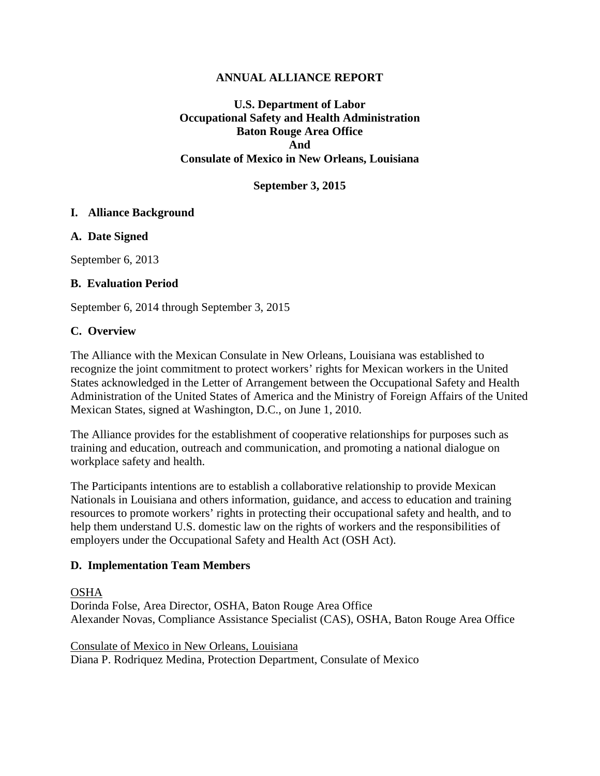### **ANNUAL ALLIANCE REPORT**

**U.S. Department of Labor Occupational Safety and Health Administration Baton Rouge Area Office And Consulate of Mexico in New Orleans, Louisiana**

### **September 3, 2015**

### **I. Alliance Background**

#### **A. Date Signed**

September 6, 2013

### **B. Evaluation Period**

September 6, 2014 through September 3, 2015

### **C. Overview**

The Alliance with the Mexican Consulate in New Orleans, Louisiana was established to recognize the joint commitment to protect workers' rights for Mexican workers in the United States acknowledged in the Letter of Arrangement between the Occupational Safety and Health Administration of the United States of America and the Ministry of Foreign Affairs of the United Mexican States, signed at Washington, D.C., on June 1, 2010.

The Alliance provides for the establishment of cooperative relationships for purposes such as training and education, outreach and communication, and promoting a national dialogue on workplace safety and health.

The Participants intentions are to establish a collaborative relationship to provide Mexican Nationals in Louisiana and others information, guidance, and access to education and training resources to promote workers' rights in protecting their occupational safety and health, and to help them understand U.S. domestic law on the rights of workers and the responsibilities of employers under the Occupational Safety and Health Act (OSH Act).

### **D. Implementation Team Members**

#### OSHA

Dorinda Folse, Area Director, OSHA, Baton Rouge Area Office Alexander Novas, Compliance Assistance Specialist (CAS), OSHA, Baton Rouge Area Office

Consulate of Mexico in New Orleans, Louisiana Diana P. Rodriquez Medina, Protection Department, Consulate of Mexico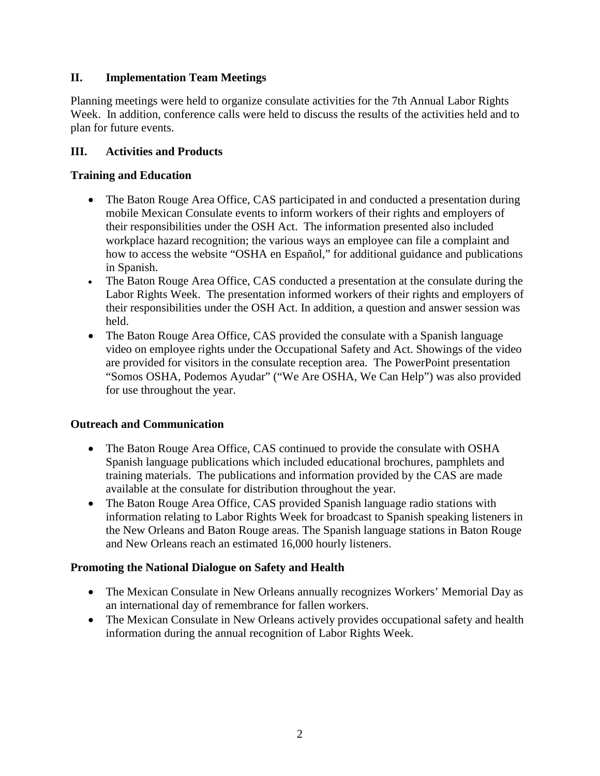# **II. Implementation Team Meetings**

Planning meetings were held to organize consulate activities for the 7th Annual Labor Rights Week. In addition, conference calls were held to discuss the results of the activities held and to plan for future events.

# **III. Activities and Products**

## **Training and Education**

- The Baton Rouge Area Office, CAS participated in and conducted a presentation during mobile Mexican Consulate events to inform workers of their rights and employers of their responsibilities under the OSH Act. The information presented also included workplace hazard recognition; the various ways an employee can file a complaint and how to access the website "OSHA en Español," for additional guidance and publications in Spanish.
- The Baton Rouge Area Office, CAS conducted a presentation at the consulate during the Labor Rights Week. The presentation informed workers of their rights and employers of their responsibilities under the OSH Act. In addition, a question and answer session was held.
- The Baton Rouge Area Office, CAS provided the consulate with a Spanish language video on employee rights under the Occupational Safety and Act. Showings of the video are provided for visitors in the consulate reception area. The PowerPoint presentation "Somos OSHA, Podemos Ayudar" ("We Are OSHA, We Can Help") was also provided for use throughout the year.

## **Outreach and Communication**

- The Baton Rouge Area Office, CAS continued to provide the consulate with OSHA Spanish language publications which included educational brochures, pamphlets and training materials. The publications and information provided by the CAS are made available at the consulate for distribution throughout the year.
- The Baton Rouge Area Office, CAS provided Spanish language radio stations with information relating to Labor Rights Week for broadcast to Spanish speaking listeners in the New Orleans and Baton Rouge areas. The Spanish language stations in Baton Rouge and New Orleans reach an estimated 16,000 hourly listeners.

## **Promoting the National Dialogue on Safety and Health**

- The Mexican Consulate in New Orleans annually recognizes Workers' Memorial Day as an international day of remembrance for fallen workers.
- The Mexican Consulate in New Orleans actively provides occupational safety and health information during the annual recognition of Labor Rights Week.